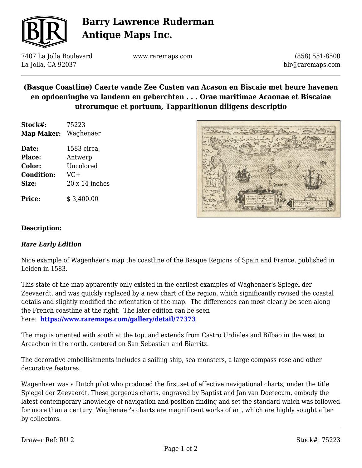

# **Barry Lawrence Ruderman Antique Maps Inc.**

7407 La Jolla Boulevard La Jolla, CA 92037

www.raremaps.com

(858) 551-8500 blr@raremaps.com

## **(Basque Coastline) Caerte vande Zee Custen van Acason en Biscaie met heure havenen en opdoeninghe va landenn en geberchten . . . Orae maritimae Acaonae et Biscaiae utrorumque et portuum, Tapparitionun diligens descriptio**

| Stock#:    | 75223     |
|------------|-----------|
| Map Maker: | Waghenaer |

**Date:** 1583 circa **Place:** Antwerp **Color:** Uncolored **Condition:** VG+ **Size:** 20 x 14 inches

**Price:**  $$3,400.00$ 



### **Description:**

#### *Rare Early Edition*

Nice example of Wagenhaer's map the coastline of the Basque Regions of Spain and France, published in Leiden in 1583.

This state of the map apparently only existed in the earliest examples of Waghenaer's Spiegel der Zeevaerdt, and was quickly replaced by a new chart of the region, which significantly revised the coastal details and slightly modified the orientation of the map. The differences can most clearly be seen along the French coastline at the right. The later edition can be seen here: **<https://www.raremaps.com/gallery/detail/77373>**

The map is oriented with south at the top, and extends from Castro Urdiales and Bilbao in the west to Arcachon in the north, centered on San Sebastian and Biarritz.

The decorative embellishments includes a sailing ship, sea monsters, a large compass rose and other decorative features.

Wagenhaer was a Dutch pilot who produced the first set of effective navigational charts, under the title Spiegel der Zeevaerdt. These gorgeous charts, engraved by Baptist and Jan van Doetecum, embody the latest contemporary knowledge of navigation and position finding and set the standard which was followed for more than a century. Waghenaer's charts are magnificent works of art, which are highly sought after by collectors.